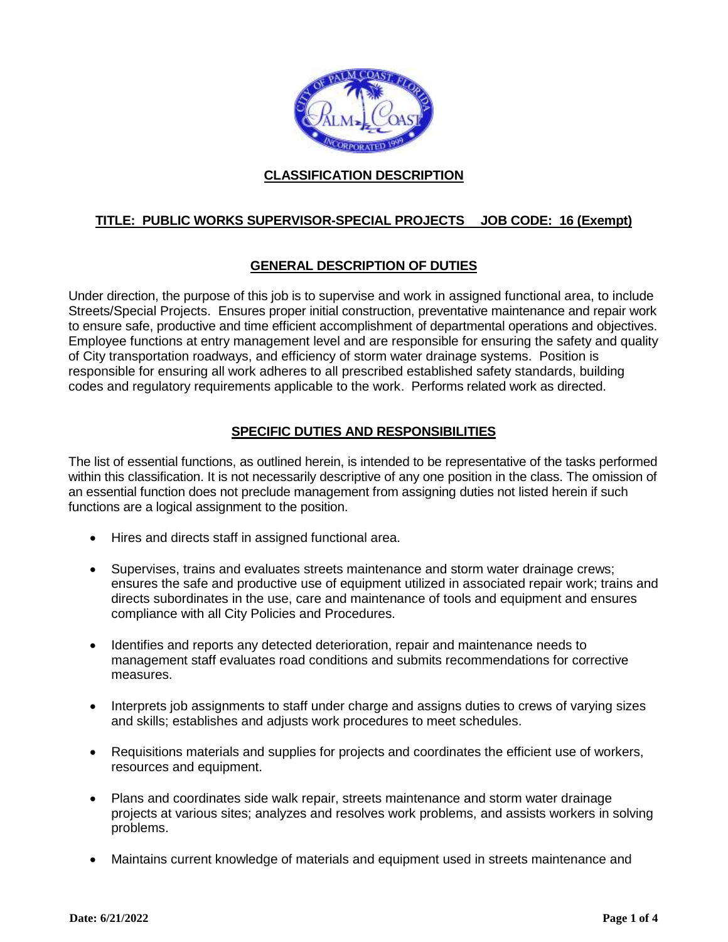

## **CLASSIFICATION DESCRIPTION**

# **TITLE: PUBLIC WORKS SUPERVISOR-SPECIAL PROJECTS JOB CODE: 16 (Exempt)**

## **GENERAL DESCRIPTION OF DUTIES**

Under direction, the purpose of this job is to supervise and work in assigned functional area, to include Streets/Special Projects. Ensures proper initial construction, preventative maintenance and repair work to ensure safe, productive and time efficient accomplishment of departmental operations and objectives. Employee functions at entry management level and are responsible for ensuring the safety and quality of City transportation roadways, and efficiency of storm water drainage systems. Position is responsible for ensuring all work adheres to all prescribed established safety standards, building codes and regulatory requirements applicable to the work. Performs related work as directed.

## **SPECIFIC DUTIES AND RESPONSIBILITIES**

The list of essential functions, as outlined herein, is intended to be representative of the tasks performed within this classification. It is not necessarily descriptive of any one position in the class. The omission of an essential function does not preclude management from assigning duties not listed herein if such functions are a logical assignment to the position.

- Hires and directs staff in assigned functional area.
- Supervises, trains and evaluates streets maintenance and storm water drainage crews; ensures the safe and productive use of equipment utilized in associated repair work; trains and directs subordinates in the use, care and maintenance of tools and equipment and ensures compliance with all City Policies and Procedures.
- Identifies and reports any detected deterioration, repair and maintenance needs to management staff evaluates road conditions and submits recommendations for corrective measures.
- Interprets job assignments to staff under charge and assigns duties to crews of varying sizes and skills; establishes and adjusts work procedures to meet schedules.
- Requisitions materials and supplies for projects and coordinates the efficient use of workers, resources and equipment.
- Plans and coordinates side walk repair, streets maintenance and storm water drainage projects at various sites; analyzes and resolves work problems, and assists workers in solving problems.
- Maintains current knowledge of materials and equipment used in streets maintenance and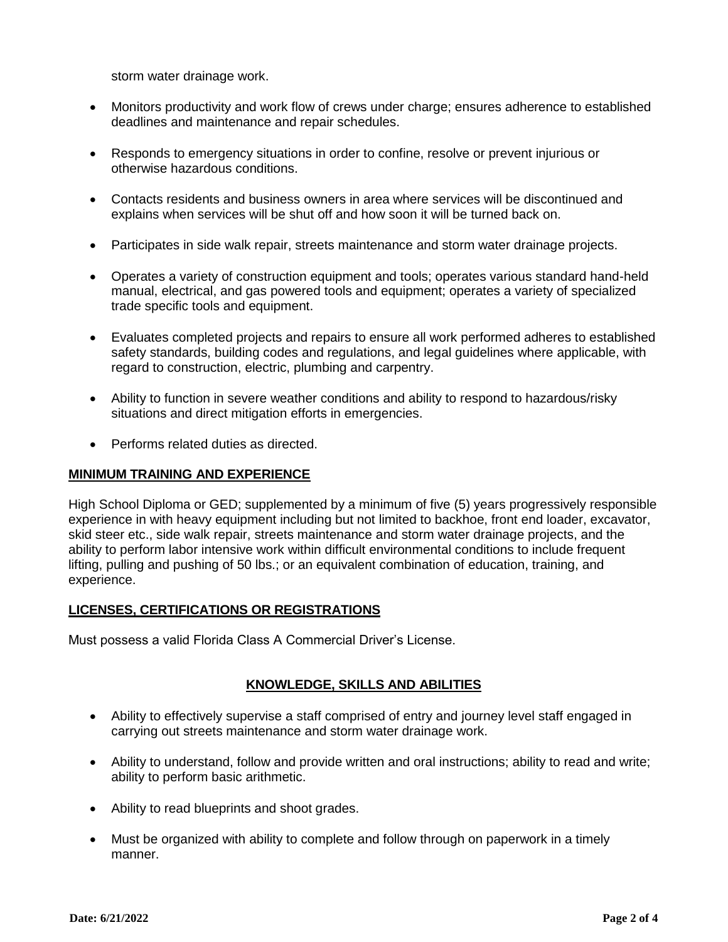storm water drainage work.

- Monitors productivity and work flow of crews under charge; ensures adherence to established deadlines and maintenance and repair schedules.
- Responds to emergency situations in order to confine, resolve or prevent injurious or otherwise hazardous conditions.
- Contacts residents and business owners in area where services will be discontinued and explains when services will be shut off and how soon it will be turned back on.
- Participates in side walk repair, streets maintenance and storm water drainage projects.
- Operates a variety of construction equipment and tools; operates various standard hand-held manual, electrical, and gas powered tools and equipment; operates a variety of specialized trade specific tools and equipment.
- Evaluates completed projects and repairs to ensure all work performed adheres to established safety standards, building codes and regulations, and legal guidelines where applicable, with regard to construction, electric, plumbing and carpentry.
- Ability to function in severe weather conditions and ability to respond to hazardous/risky situations and direct mitigation efforts in emergencies.
- Performs related duties as directed.

#### **MINIMUM TRAINING AND EXPERIENCE**

High School Diploma or GED; supplemented by a minimum of five (5) years progressively responsible experience in with heavy equipment including but not limited to backhoe, front end loader, excavator, skid steer etc., side walk repair, streets maintenance and storm water drainage projects, and the ability to perform labor intensive work within difficult environmental conditions to include frequent lifting, pulling and pushing of 50 lbs.; or an equivalent combination of education, training, and experience.

#### **LICENSES, CERTIFICATIONS OR REGISTRATIONS**

Must possess a valid Florida Class A Commercial Driver's License.

### **KNOWLEDGE, SKILLS AND ABILITIES**

- Ability to effectively supervise a staff comprised of entry and journey level staff engaged in carrying out streets maintenance and storm water drainage work.
- Ability to understand, follow and provide written and oral instructions; ability to read and write; ability to perform basic arithmetic.
- Ability to read blueprints and shoot grades.
- Must be organized with ability to complete and follow through on paperwork in a timely manner.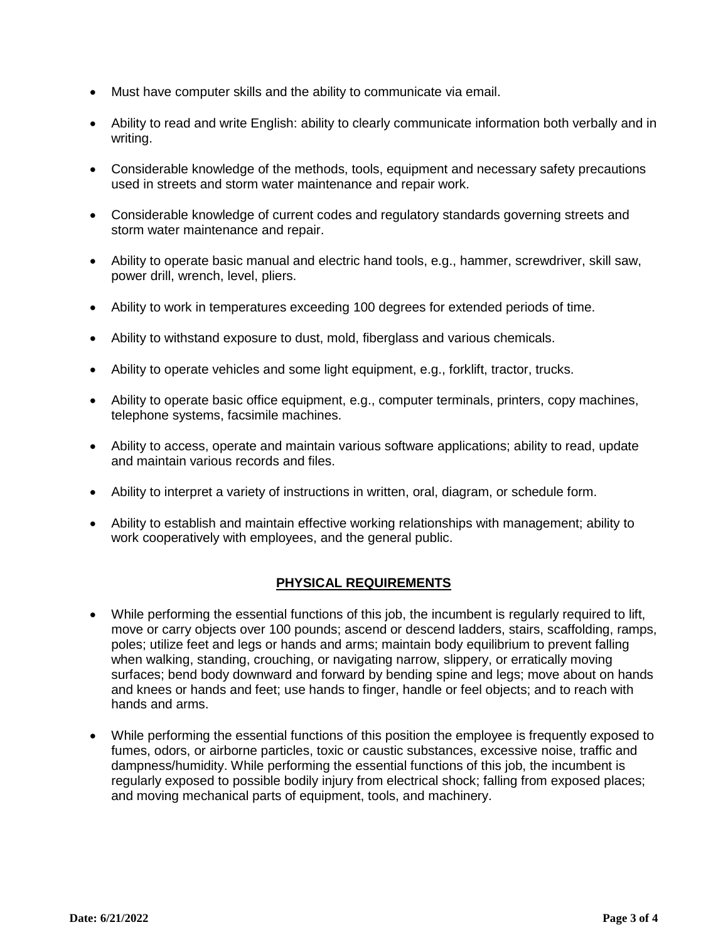- Must have computer skills and the ability to communicate via email.
- Ability to read and write English: ability to clearly communicate information both verbally and in writing.
- Considerable knowledge of the methods, tools, equipment and necessary safety precautions used in streets and storm water maintenance and repair work.
- Considerable knowledge of current codes and regulatory standards governing streets and storm water maintenance and repair.
- Ability to operate basic manual and electric hand tools, e.g., hammer, screwdriver, skill saw, power drill, wrench, level, pliers.
- Ability to work in temperatures exceeding 100 degrees for extended periods of time.
- Ability to withstand exposure to dust, mold, fiberglass and various chemicals.
- Ability to operate vehicles and some light equipment, e.g., forklift, tractor, trucks.
- Ability to operate basic office equipment, e.g., computer terminals, printers, copy machines, telephone systems, facsimile machines.
- Ability to access, operate and maintain various software applications; ability to read, update and maintain various records and files.
- Ability to interpret a variety of instructions in written, oral, diagram, or schedule form.
- Ability to establish and maintain effective working relationships with management; ability to work cooperatively with employees, and the general public.

### **PHYSICAL REQUIREMENTS**

- While performing the essential functions of this job, the incumbent is regularly required to lift, move or carry objects over 100 pounds; ascend or descend ladders, stairs, scaffolding, ramps, poles; utilize feet and legs or hands and arms; maintain body equilibrium to prevent falling when walking, standing, crouching, or navigating narrow, slippery, or erratically moving surfaces; bend body downward and forward by bending spine and legs; move about on hands and knees or hands and feet; use hands to finger, handle or feel objects; and to reach with hands and arms.
- While performing the essential functions of this position the employee is frequently exposed to fumes, odors, or airborne particles, toxic or caustic substances, excessive noise, traffic and dampness/humidity. While performing the essential functions of this job, the incumbent is regularly exposed to possible bodily injury from electrical shock; falling from exposed places; and moving mechanical parts of equipment, tools, and machinery.